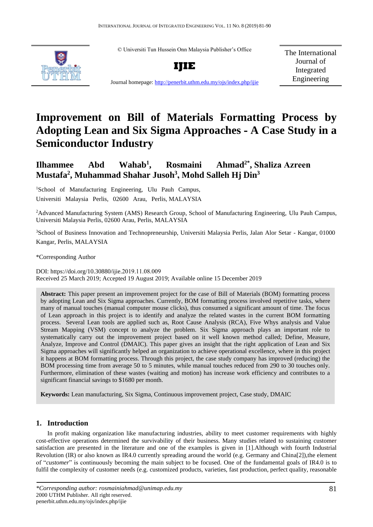© Universiti Tun Hussein Onn Malaysia Publisher's Office





The International Journal of Integrated Engineering

Journal homepage:<http://penerbit.uthm.edu.my/ojs/index.php/ijie>

# **Improvement on Bill of Materials Formatting Process by Adopting Lean and Six Sigma Approaches - A Case Study in a Semiconductor Industry**

#### **Ilhammee Abd Wahab<sup>1</sup>**  $R$ osmaini **, Shaliza Azreen Mustafa<sup>2</sup> , Muhammad Shahar Jusoh<sup>3</sup> , Mohd Salleh Hj Din<sup>3</sup>**

<sup>1</sup>School of Manufacturing Engineering, Ulu Pauh Campus, Universiti Malaysia Perlis, 02600 Arau, Perlis, MALAYSIA

<sup>2</sup>Advanced Manufacturing System (AMS) Research Group, School of Manufacturing Engineering, Ulu Pauh Campus, Universiti Malaysia Perlis, 02600 Arau, Perlis, MALAYSIA

<sup>3</sup>School of Business Innovation and Technopreneurship, Universiti Malaysia Perlis, Jalan Alor Setar - Kangar, 01000 Kangar, Perlis, MALAYSIA

\*Corresponding Author

DOI: https://doi.org/10.30880/ijie.2019.11.08.009 Received 25 March 2019; Accepted 19 August 2019; Available online 15 December 2019

**Abstract:** This paper present an improvement project for the case of Bill of Materials (BOM) formatting process by adopting Lean and Six Sigma approaches. Currently, BOM formatting process involved repetitive tasks, where many of manual touches (manual computer mouse clicks), thus consumed a significant amount of time. The focus of Lean approach in this project is to identify and analyze the related wastes in the current BOM formatting process. Several Lean tools are applied such as, Root Cause Analysis (RCA), Five Whys analysis and Value Stream Mapping (VSM) concept to analyze the problem. Six Sigma approach plays an important role to systematically carry out the improvement project based on it well known method called; Define, Measure, Analyze, Improve and Control (DMAIC). This paper gives an insight that the right application of Lean and Six Sigma approaches will significantly helped an organization to achieve operational excellence, where in this project it happens at BOM formatting process. Through this project, the case study company has improved (reducing) the BOM processing time from average 50 to 5 minutes, while manual touches reduced from 290 to 30 touches only. Furthermore, elimination of these wastes (waiting and motion) has increase work efficiency and contributes to a significant financial savings to \$1680 per month.

**Keywords:** Lean manufacturing, Six Sigma, Continuous improvement project, Case study, DMAIC

# **1. Introduction**

In profit making organization like manufacturing industries, ability to meet customer requirements with highly cost-effective operations determined the survivability of their business. Many studies related to sustaining customer satisfaction are presented in the literature and one of the examples is given in [1].Although with fourth Industrial Revolution (IR) or also known as IR4.0 currently spreading around the world (e.g. Germany and China[2]),the element of "*customer*" is continuously becoming the main subject to be focused. One of the fundamental goals of IR4.0 is to fulfil the complexity of customer needs (e.g. customized products, varieties, fast production, perfect quality, reasonable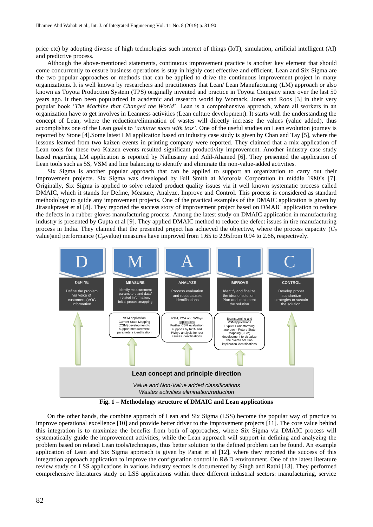price etc) by adopting diverse of high technologies such internet of things (IoT), simulation, artificial intelligent (AI) and predictive process.

Although the above-mentioned statements, continuous improvement practice is another key element that should come concurrently to ensure business operations is stay in highly cost effective and efficient. Lean and Six Sigma are the two popular approaches or methods that can be applied to drive the continuous improvement project in many organizations. It is well known by researchers and practitioners that Lean/ Lean Manufacturing (LM) approach or also known as Toyota Production System (TPS) originally invented and practice in Toyota Company since over the last 50 years ago. It then been popularized in academic and research world by Womack, Jones and Roos [3] in their very popular book '*The Machine that Changed the World*'. Lean is a comprehensive approach, where all workers in an organization have to get involves in Leanness activities (Lean culture development). It starts with the understanding the concept of Lean, where the reduction/elimination of wastes will directly increase the values (value added), thus accomplishes one of the Lean goals to '*achieve more with less'*. One of the useful studies on Lean evolution journey is reported by Stone [4].Some latest LM application based on industry case study is given by [Chan](https://www.emeraldinsight.com/author/Chan%2C+Chi+On) and [Tay](https://www.emeraldinsight.com/author/Tay%2C+Huay+Ling) [5], where the lessons learned from two kaizen events in printing company were reported. They claimed that a mix application of Lean tools for these two Kaizen events resulted significant productivity improvement. Another industry case study based regarding LM application is reported by Nallusamy and Adil-Ahamed [6]. They presented the application of Lean tools such as 5S, VSM and line balancing to identify and eliminate the non-value-added activities.

Six Sigma is another popular approach that can be applied to support an organization to carry out their improvement projects. Six Sigma was developed by Bill Smith at Motorola Corporation in middle 1980's [7]. Originally, Six Sigma is applied to solve related product quality issues via it well known systematic process called DMAIC, which it stands for Define, Measure, Analyze, Improve and Control. This process is considered as standard methodology to guide any improvement projects. One of the practical examples of the DMAIC application is given by Jirasukpraset et al [8]. They reported the success story of improvement project based on DMAIC application to reduce the defects in a rubber gloves manufacturing process. Among the latest study on DMAIC application in manufacturing industry is presented by Gupta et al [9]. They applied DMAIC method to reduce the defect issues in tire manufacturing process in India. They claimed that the presented project has achieved the objective, where the process capacity  $(C_p)$ value)and performance (*Cpk*value) measures have improved from 1.65 to 2.95from 0.94 to 2.66, respectively.



**Fig. 1 – Methodology structure of DMAIC and Lean applications**

On the other hands, the combine approach of Lean and Six Sigma (LSS) become the popular way of practice to improve operational excellence [10] and provide better driver to the improvement projects [11]. The core value behind this integration is to maximize the benefits from both of approaches, where Six Sigma via DMAIC process will systematically guide the improvement activities, while the Lean approach will support in defining and analyzing the problem based on related Lean tools/techniques, thus better solution to the defined problem can be found. An example application of Lean and Six Sigma approach is given by Panat et al [12], where they reported the success of this integration approach application to improve the configuration control in R&D environment. One of the latest literature review study on LSS applications in various industry sectors is documented by [Singh](https://www.emeraldinsight.com/author/Singh%2C+Mahipal) and [Rathi](https://www.emeraldinsight.com/author/Rathi%2C+Rajeev) [13]. They performed comprehensive literatures study on LSS applications within three different industrial sectors: manufacturing, service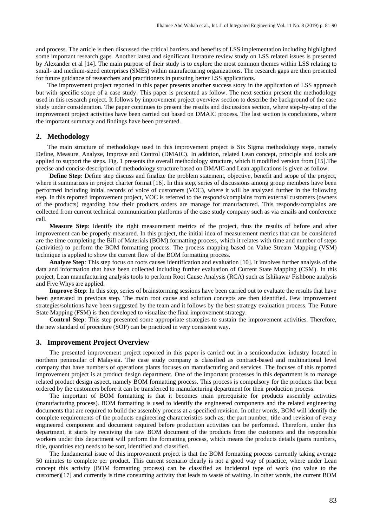and process. The article is then discussed the critical barriers and benefits of LSS implementation including highlighted some important research gaps. Another latest and significant literature review study on LSS related issues is presented by [Alexander](https://www.emeraldinsight.com/author/Alexander%2C+Paul) et al [14]. The main purpose of their study is to explore the most common themes within LSS relating to small- and medium-sized enterprises (SMEs) within manufacturing organizations. The research gaps are then presented for future guidance of researchers and practitioners in pursuing better LSS applications.

The improvement project reported in this paper presents another success story in the application of LSS approach but with specific scope of a case study. This paper is presented as follow. The next section present the methodology used in this research project. It follows by improvement project overview section to describe the background of the case study under consideration. The paper continues to present the results and discussions section, where step-by-step of the improvement project activities have been carried out based on DMAIC process. The last section is conclusions, where the important summary and findings have been presented.

# **2. Methodology**

The main structure of methodology used in this improvement project is Six Sigma methodology steps, namely Define, Measure, Analyze, Improve and Control (DMAIC). In addition, related Lean concept, principle and tools are applied to support the steps. Fig. 1 presents the overall methodology structure, which it modified version from [15].The precise and concise description of methodology structure based on DMAIC and Lean applications is given as follow.

**Define Step**: Define step discuss and finalize the problem statement, objective, benefit and scope of the project, where it summarizes in project charter format [16]. In this step, series of discussions among group members have been performed including initial records of voice of customers (VOC), where it will be analyzed further in the following step. In this reported improvement project, VOC is referred to the responds/complains from external customers (owners of the products) regarding how their products orders are manage for manufactured. This responds/complains are collected from current technical communication platforms of the case study company such as via emails and conference call.

**Measure Step**: Identify the right measurement metrics of the project, thus the results of before and after improvement can be properly measured. In this project, the initial idea of measurement metrics that can be considered are the time completing the Bill of Materials (BOM) formatting process, which it relates with time and number of steps (activities) to perform the BOM formatting process. The process mapping based on Value Stream Mapping (VSM) technique is applied to show the current flow of the BOM formatting process.

**Analyze Step**: This step focus on roots causes identification and evaluation [10]. It involves further analysis of the data and information that have been collected including further evaluation of Current State Mapping (CSM). In this project, Lean manufacturing analysis tools to perform Root Cause Analysis (RCA) such as Ishikawa/ Fishbone analysis and Five Whys are applied.

**Improve Step**: In this step, series of brainstorming sessions have been carried out to evaluate the results that have been generated in previous step. The main root cause and solution concepts are then identified. Few improvement strategies/solutions have been suggested by the team and it follows by the best strategy evaluation process. The Future State Mapping (FSM) is then developed to visualize the final improvement strategy.

**Control Step**: This step presented some appropriate strategies to sustain the improvement activities. Therefore, the new standard of procedure (SOP) can be practiced in very consistent way.

# **3. Improvement Project Overview**

The presented improvement project reported in this paper is carried out in a semiconductor industry located in northern peninsular of Malaysia. The case study company is classified as contract-based and multinational level company that have numbers of operations plants focuses on manufacturing and services. The focuses of this reported improvement project is at product design department. One of the important processes in this department is to manage related product design aspect, namely BOM formatting process. This process is compulsory for the products that been ordered by the customers before it can be transferred to manufacturing department for their production process.

The important of BOM formatting is that it becomes main prerequisite for products assembly activities (manufacturing process). BOM formatting is used to identify the engineered components and the related engineering documents that are required to build the assembly process at a specified revision. In other words, BOM will identify the complete requirements of the products engineering characteristics such as; the part number, title and revision of every engineered component and document required before production activities can be performed. Therefore, under this department, it starts by receiving the raw BOM document of the products from the customers and the responsible workers under this department will perform the formatting process, which means the products details (parts numbers, title, quantities etc) needs to be sort, identified and classified.

The fundamental issue of this improvement project is that the BOM formatting process currently taking average 50 minutes to complete per product. This current scenario clearly is not a good way of practice, where under Lean concept this activity (BOM formatting process) can be classified as incidental type of work (no value to the customer)[17] and currently is time consuming activity that leads to waste of waiting. In other words, the current BOM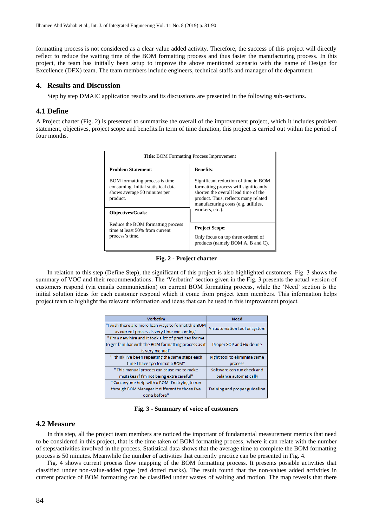formatting process is not considered as a clear value added activity. Therefore, the success of this project will directly reflect to reduce the waiting time of the BOM formatting process and thus faster the manufacturing process. In this project, the team has initially been setup to improve the above mentioned scenario with the name of Design for Excellence (DFX) team. The team members include engineers, technical staffs and manager of the department.

# **4. Results and Discussion**

Step by step DMAIC application results and its discussions are presented in the following sub-sections.

# **4.1 Define**

A Project charter (Fig. 2) is presented to summarize the overall of the improvement project, which it includes problem statement, objectives, project scope and benefits.In term of time duration, this project is carried out within the period of four months.

| <b>Title:</b> BOM Formatting Process Improvement                                                                         |                                                                                                                                                                                                       |  |  |  |
|--------------------------------------------------------------------------------------------------------------------------|-------------------------------------------------------------------------------------------------------------------------------------------------------------------------------------------------------|--|--|--|
| <b>Problem Statement:</b>                                                                                                | <b>Benefits:</b>                                                                                                                                                                                      |  |  |  |
| <b>BOM</b> formatting process is time<br>consuming. Initial statistical data<br>shows average 50 minutes per<br>product. | Significant reduction of time in BOM<br>formatting process will significantly<br>shorten the overall lead time of the<br>product. Thus, reflects many related<br>manufacturing costs (e.g. utilities, |  |  |  |
| <b>Objectives/Goals:</b>                                                                                                 | workers, etc.).                                                                                                                                                                                       |  |  |  |
| Reduce the BOM formatting process<br>time at least 50% from current<br>process's time.                                   | <b>Project Scope:</b><br>Only focus on top three ordered of<br>products (namely BOM A, B and C).                                                                                                      |  |  |  |

**Fig. 2 - Project charter**

In relation to this step (Define Step), the significant of this project is also highlighted customers. Fig. 3 shows the summary of VOC and their recommendations. The 'Verbatim' section given in the Fig. 3 presents the actual version of customers respond (via emails communication) on current BOM formatting process, while the 'Need' section is the initial solution ideas for each customer respond which it come from project team members. This information helps project team to highlight the relevant information and ideas that can be used in this improvement project.

| <b>Verbatim</b>                                       | <b>Need</b>                   |  |
|-------------------------------------------------------|-------------------------------|--|
| "I wish there are more lean ways to format this BOM   | An automation tool or system  |  |
| as current process is very time consuming"            |                               |  |
| "I'm a new hire and it took a lot of practices for me |                               |  |
| to get familiar with the BOM formatting process as it | Proper SOP and Guideline      |  |
| is very manual"                                       |                               |  |
| "I think I've been repeating the same steps each      | Right tool to eliminate same  |  |
| time I have tpo format a BOM"                         | process                       |  |
| " This manual process can cause me to make            | Software can run check and    |  |
| mistakes if I'm not being extra careful"              | balance automatically         |  |
| " Can anyone help with a BOM. I'm trying to run       |                               |  |
| through BOM Manager it different to those I've        | Training and proper guideline |  |
| done before"                                          |                               |  |

**Fig. 3 - Summary of voice of customers**

# **4.2 Measure**

In this step, all the project team members are noticed the important of fundamental measurement metrics that need to be considered in this project, that is the time taken of BOM formatting process, where it can relate with the number of steps/activities involved in the process. Statistical data shows that the average time to complete the BOM formatting process is 50 minutes. Meanwhile the number of activities that currently practice can be presented in Fig. 4.

Fig. 4 shows current process flow mapping of the BOM formatting process. It presents possible activities that classified under non-value-added type (red dotted marks). The result found that the non-values added activities in current practice of BOM formatting can be classified under wastes of waiting and motion. The map reveals that there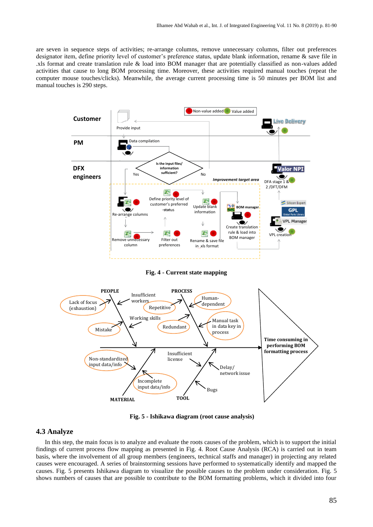are seven in sequence steps of activities; re-arrange columns, remove unnecessary columns, filter out preferences designator item, define priority level of customer's preference status, update blank information, rename & save file in .xls format and create translation rule & load into BOM manager that are potentially classified as non-values added activities that cause to long BOM processing time. Moreover, these activities required manual touches (repeat the computer mouse touches/clicks). Meanwhile, the average current processing time is 50 minutes per BOM list and manual touches is 290 steps.



**Fig. 4 - Current state mapping**



**Fig. 5 - Ishikawa diagram (root cause analysis)**

# **4.3 Analyze**

In this step, the main focus is to analyze and evaluate the roots causes of the problem, which is to support the initial findings of current process flow mapping as presented in Fig. 4. Root Cause Analysis (RCA) is carried out in team basis, where the involvement of all group members (engineers, technical staffs and manager) in projecting any related causes were encouraged. A series of brainstorming sessions have performed to systematically identify and mapped the causes. Fig. 5 presents Ishikawa diagram to visualize the possible causes to the problem under consideration. Fig. 5 shows numbers of causes that are possible to contribute to the BOM formatting problems, which it divided into four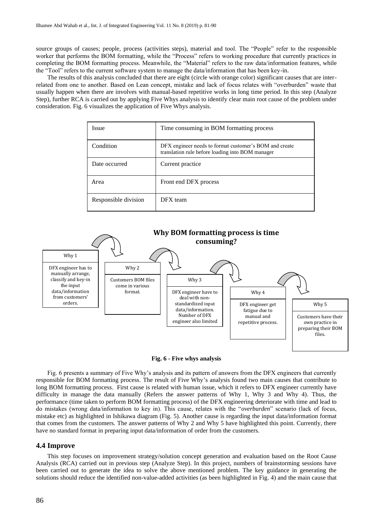source groups of causes; people, process (activities steps), material and tool. The "People" refer to the responsible worker that performs the BOM formatting, while the "Process" refers to working procedure that currently practices in completing the BOM formatting process. Meanwhile, the "Material" refers to the raw data/information features, while the "Tool" refers to the current software system to manage the data/information that has been key-in.

The results of this analysis concluded that there are eight (circle with orange color) significant causes that are interrelated from one to another. Based on Lean concept, mistake and lack of focus relates with "overburden" waste that usually happen when there are involves with manual-based repetitive works in long time period. In this step (Analyze Step), further RCA is carried out by applying Five Whys analysis to identify clear main root cause of the problem under consideration. Fig. 6 visualizes the application of Five Whys analysis.

| <i>Issue</i>         | Time consuming in BOM formatting process                                                                   |  |
|----------------------|------------------------------------------------------------------------------------------------------------|--|
| Condition            | DFX engineer needs to format customer's BOM and create<br>translation rule before loading into BOM manager |  |
| Date occurred        | Current practice                                                                                           |  |
| Area                 | Front end DFX process                                                                                      |  |
| Responsible division | DFX team                                                                                                   |  |



**Fig. 6 - Five whys analysis**

Fig. 6 presents a summary of Five Why's analysis and its pattern of answers from the DFX engineers that currently responsible for BOM formatting process. The result of Five Why's analysis found two main causes that contribute to long BOM formatting process. First cause is related with human issue, which it refers to DFX engineer currently have difficulty in manage the data manually (Refers the answer patterns of Why 1, Why 3 and Why 4). Thus, the performance (time taken to perform BOM formatting process) of the DFX engineering deteriorate with time and lead to do mistakes (wrong data/information to key in). This cause, relates with the "*overburden*" scenario (lack of focus, mistake etc) as highlighted in Ishikawa diagram (Fig. 5). Another cause is regarding the input data/information format that comes from the customers. The answer patterns of Why 2 and Why 5 have highlighted this point. Currently, there have no standard format in preparing input data/information of order from the customers.

#### **4.4 Improve**

This step focuses on improvement strategy/solution concept generation and evaluation based on the Root Cause Analysis (RCA) carried out in previous step (Analyze Step). In this project, numbers of brainstorming sessions have been carried out to generate the idea to solve the above mentioned problem. The key guidance in generating the solutions should reduce the identified non-value-added activities (as been highlighted in Fig. 4) and the main cause that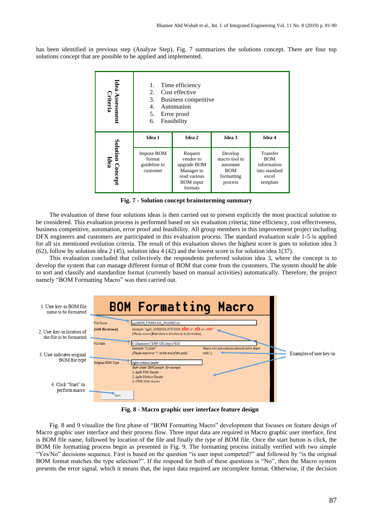has been identified in previous step (Analyze Step). Fig. 7 summarizes the solutions concept. There are four top solutions concept that are possible to be applied and implemented.

| Idea<br>ı Assessment<br>Criteria   | Time efficiency<br>1.<br>Cost effective<br>2.<br>3.<br>Business competitive<br>4.<br>Automation<br>5.<br>Error proof<br>Feasibility<br>6. |                                                                                                  |                                                                             |                                                                             |  |
|------------------------------------|-------------------------------------------------------------------------------------------------------------------------------------------|--------------------------------------------------------------------------------------------------|-----------------------------------------------------------------------------|-----------------------------------------------------------------------------|--|
|                                    | Idea 1                                                                                                                                    | Idea 2                                                                                           | Idea 3                                                                      | Idea 4                                                                      |  |
| Solution<br><b>Idea</b><br>Concept | Impose BOM<br>format<br>guideline to<br>customer                                                                                          | Request<br>vendor to<br>upgrade BOM<br>Manager to<br>read various<br><b>BOM</b> input<br>formats | Develop<br>macro tool to<br>automate<br><b>BOM</b><br>formatting<br>process | Transfer<br><b>BOM</b><br>information<br>into standard<br>excel<br>template |  |

**Fig. 7 - Solution concept brainstorming summary**

The evaluation of these four solutions ideas is then carried out to present explicitly the most practical solution to be considered. This evaluation process is performed based on six evaluation criteria; time efficiency, cost effectiveness, business competitive, automation, error proof and feasibility. All group members in this improvement project including DFX engineers and customers are participated in this evaluation process. The standard evaluation scale 1-5 is applied for all six mentioned evolution criteria. The result of this evaluation shows the highest score is goes to solution idea 3 (62), follow by solution idea 2 (45), solution idea 4 (42) and the lowest score is for solution idea 1(37).

This evaluation concluded that collectively the respondents preferred solution idea 3, where the concept is to develop the system that can manage different format of BOM that come from the customers. The system should be able to sort and classify and standardize format (currently based on manual activities) automatically. Therefore, the project namely "BOM Formatting Macro" was then carried out.



**Fig. 8 - Macro graphic user interface feature design**

Fig. 8 and 9 visualize the first phase of "BOM Formatting Macro" development that focuses on feature design of Macro graphic user interface and their process flow. Three input data are required in Macro graphic user interface, first is BOM file name, followed by location of the file and finally the type of BOM file. Once the start button is click, the BOM file formatting process begin as presented in Fig. 9. The formatting process initially verified with two simple "Yes/No" decisions sequence. First is based on the question "is user input competed?" and followed by "is the original BOM format matches the type selection?". If the respond for both of these questions is "No", then the Macro system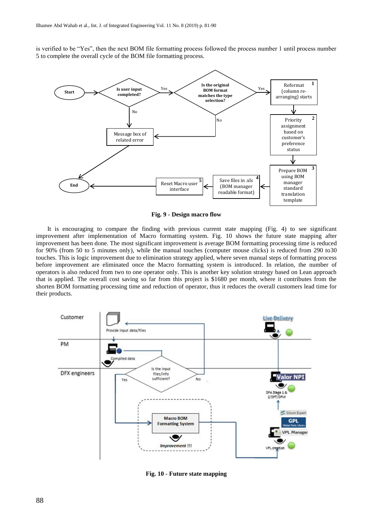is verified to be "Yes", then the next BOM file formatting process followed the process number 1 until process number 5 to complete the overall cycle of the BOM file formatting process.



**Fig. 9 - Design macro flow**

It is encouraging to compare the finding with previous current state mapping (Fig. 4) to see significant improvement after implementation of Macro formatting system. Fig. 10 shows the future state mapping after improvement has been done. The most significant improvement is average BOM formatting processing time is reduced for 90% (from 50 to 5 minutes only), while the manual touches (computer mouse clicks) is reduced from 290 to30 touches. This is logic improvement due to elimination strategy applied, where seven manual steps of formatting process before improvement are eliminated once the Macro formatting system is introduced. In relation, the number of operators is also reduced from two to one operator only. This is another key solution strategy based on Lean approach that is applied. The overall cost saving so far from this project is \$1680 per month, where it contributes from the shorten BOM formatting processing time and reduction of operator, thus it reduces the overall customers lead time for their products.



**Fig. 10 - Future state mapping**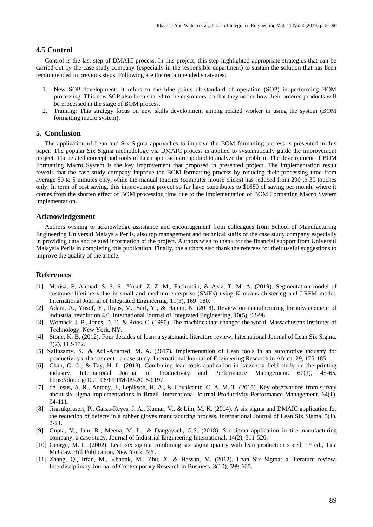# **4.5 Control**

Control is the last step of DMAIC process. In this project, this step highlighted appropriate strategies that can be carried out by the case study company (especially in the responsible department) to sustain the solution that has been recommended in previous steps. Following are the recommended strategies;

- 1. New SOP development: It refers to the blue prints of standard of operation (SOP) in performing BOM processing. This new SOP also been shared to the customers, so that they notice how their ordered products will be processed in the stage of BOM process.
- 2. Training: This strategy focus on new skills development among related worker in using the system (BOM formatting macro system).

# **5. Conclusion**

The application of Lean and Six Sigma approaches to improve the BOM formatting process is presented in this paper. The popular Six Sigma methodology via DMAIC process is applied to systematically guide the improvement project. The related concept and tools of Lean approach are applied to analyze the problem. The development of BOM Formatting Macro System is the key improvement that proposed in presented project. The implementation result reveals that the case study company improve the BOM formatting process by reducing their processing time from average 50 to 5 minutes only, while the manual touches (computer mouse clicks) has reduced from 290 to 30 touches only. In term of cost saving, this improvement project so far have contributes to \$1680 of saving per month, where it comes from the shorten effect of BOM processing time due to the implementation of BOM Formatting Macro System implementation.

# **Acknowledgement**

Authors wishing to acknowledge assistance and encouragement from colleagues from School of Manufacturing Engineering Universiti Malaysia Perlis, also top management and technical staffs of the case study company especially in providing data and related information of the project. Authors wish to thank for the financial support from Universiti Malaysia Perlis in completing this publication. Finally, the authors also thank the referees for their useful suggestions to improve the quality of the article.

#### **References**

- [1] Marisa, F, Ahmad, S. S. S., Yusof, Z. Z. M., Fachrudin, & Aziz, T. M. A. (2019). Segmentation model of customer lifetime value in small and medium enterprise (SMEs) using K means clustering and LRFM model. International Journal of Integrated Engineering, 11(3), 169–180.
- [2] Adam, A., Yusof, Y., Iliyas, M., Saif, Y., & Hatem, N. (2018). Review on manufacturing for advancement of industrial revolution 4.0. International Journal of Integrated Engineering, 10(5), 93-98.
- [3] Womack, J. P., Jones, D. T., & Roos, C. (1990). The machines that changed the world. Massachusetts Institutes of Technology, New York, NY.
- [4] Stone, K. B. (2012). Four decades of lean: a systematic literature review. International Journal of Lean Six Sigma. 3(2), 112-132.
- [5] Nallusamy, S., & Adil-Ahamed, M. A. (2017). Implementation of Lean tools in an automotive tndustry for productivity enhancement - a case study. International Journal of Engineering Research in Africa. 29, 175-185.
- [6] [Chan,](https://www.emeraldinsight.com/author/Chan%2C+Chi+On) C. O., & [Tay,](https://www.emeraldinsight.com/author/Tay%2C+Huay+Ling) H. L. (2018). Combining lean tools application in kaizen: a field study on the printing industry. International Journal of Productivity and Performance Management. 67(1), 45-65, [https://doi.org/10.1108/IJPPM-09-2016-0197.](https://doi.org/10.1108/IJPPM-09-2016-0197)
- [7] de Jesus, A. R., Antony, J., Lepikson, H. A., & Cavalcante, C. A. M. T. (2015). Key observations from survey about six sigma implementations in Brazil. International Journal Productivity Performance Management. 64(1), 94-111.
- [8] Jirasukprasert, P., Garza-Reyes, J. A., Kumar, V., & Lim, M. K. (2014). A six sigma and DMAIC application for the reduction of defects in a rubber gloves manufacturing process. International Journal of Lean Six Sigma. 5(1), 2-21.
- [9] Gupta, V., Jain, R., Meena, M. L., & Dangayach, G.S. (2018). Six-sigma application in tire-manufacturing company: a case study. [Journal of Industrial Engineering International.](https://link.springer.com/journal/40092) 14(2), 511-520.
- [10] George, M. L. (2002). Lean six sigma: combining six sigma quality with lean production speed, 1<sup>st</sup> ed., Tata McGraw Hill Publication, New York, NY.
- [11] Zhang, Q., Irfan, M., Khattak, M., Zhu, X. & Hassan, M. (2012). Lean Six Sigma: a literature review. Interdisciplinary Journal of Contemporary Research in Business. 3(10), 599-605.